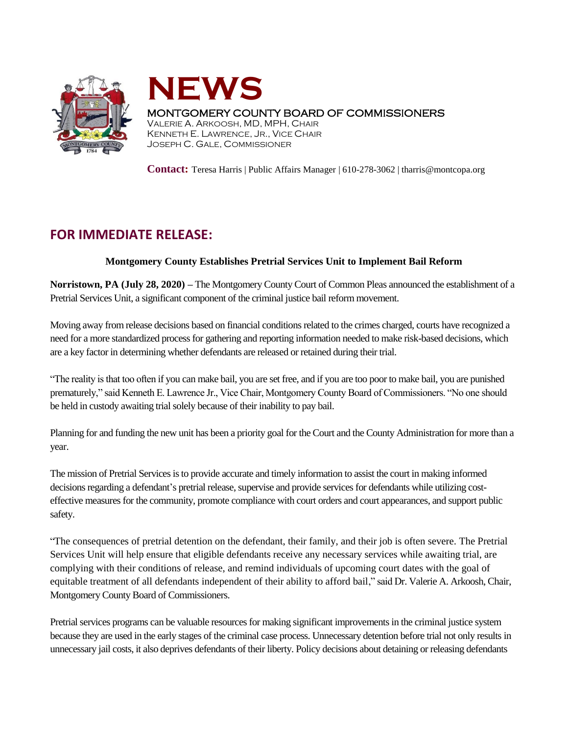



## MONTGOMERY COUNTY BOARD OF COMMISSIONERS

VALERIE A. ARKOOSH, MD, MPH, CHAIR KENNETH E. LAWRENCE, JR., VICE CHAIR JOSEPH C. GALE, COMMISSIONER

**Contact:** Teresa Harris | Public Affairs Manager | 610-278-3062 | tharris@montcopa.org

## **FOR IMMEDIATE RELEASE:**

## **Montgomery County Establishes Pretrial Services Unit to Implement Bail Reform**

**Norristown, PA (July 28, 2020) –** The Montgomery County Court of Common Pleas announced the establishment of a Pretrial Services Unit, a significant component of the criminal justice bail reform movement.

Moving away from release decisions based on financial conditions related to the crimes charged, courts have recognized a need for a more standardized processfor gathering and reporting information needed to make risk-based decisions, which are a key factor in determining whether defendants are released or retained during their trial.

"The reality is that too often if you can make bail, you are set free, and if you are too poor to make bail, you are punished prematurely," said Kenneth E. Lawrence Jr., Vice Chair, Montgomery County Board of Commissioners. "No one should be held in custody awaiting trial solely because of their inability to pay bail.

Planning for and funding the new unit has been a priority goal for the Court and the County Administration for more than a year.

The mission of Pretrial Services is to provide accurate and timely information to assist the court in making informed decisions regarding a defendant's pretrial release, supervise and provide services for defendants while utilizing costeffective measures for the community, promote compliance with court orders and court appearances, and support public safety.

"The consequences of pretrial detention on the defendant, their family, and their job is often severe. The Pretrial Services Unit will help ensure that eligible defendants receive any necessary services while awaiting trial, are complying with their conditions of release, and remind individuals of upcoming court dates with the goal of equitable treatment of all defendants independent of their ability to afford bail," said Dr. Valerie A. Arkoosh, Chair, Montgomery County Board of Commissioners.

Pretrial services programs can be valuable resources for making significant improvements in the criminal justice system because they are used in the early stages of the criminal case process. Unnecessary detention before trial not only results in unnecessary jail costs, it also deprives defendants of their liberty. Policy decisions about detaining or releasing defendants